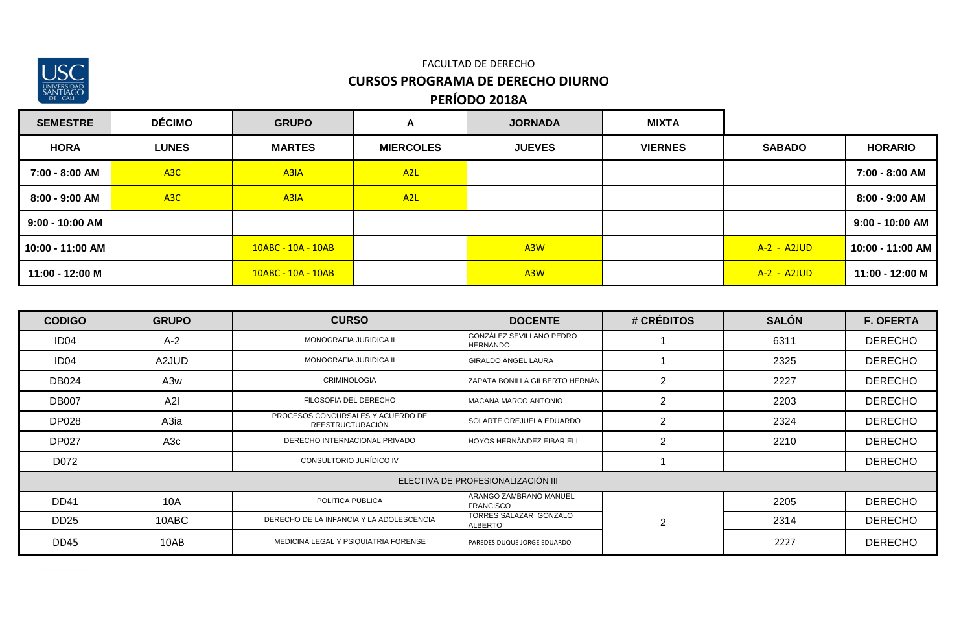

| <b>SEMESTRE</b>  | <b>DÉCIMO</b>    | <b>GRUPO</b>       | A                | <b>JORNADA</b>   | <b>MIXTA</b>   |               |                   |
|------------------|------------------|--------------------|------------------|------------------|----------------|---------------|-------------------|
| <b>HORA</b>      | <b>LUNES</b>     | <b>MARTES</b>      | <b>MIERCOLES</b> | <b>JUEVES</b>    | <b>VIERNES</b> | <b>SABADO</b> | <b>HORARIO</b>    |
| 7:00 - 8:00 AM   | A <sub>3</sub> C | A <sub>3</sub> IA  | A <sub>2</sub> L |                  |                |               | 7:00 - 8:00 AM    |
| 8:00 - 9:00 AM   | A <sub>3</sub> C | A3IA               | A <sub>2</sub> L |                  |                |               | 8:00 - 9:00 AM    |
| 9:00 - 10:00 AM  |                  |                    |                  |                  |                |               | $9:00 - 10:00$ AM |
| 10:00 - 11:00 AM |                  | 10ABC - 10A - 10AB |                  | A <sub>3</sub> W |                | $A-2 - A2JUD$ | 10:00 - 11:00 AM  |
| 11:00 - 12:00 M  |                  | 10ABC - 10A - 10AB |                  | A <sub>3</sub> W |                | A-2 - A2JUD   | 11:00 - 12:00 M   |

| <b>CODIGO</b>    | <b>GRUPO</b>     | <b>CURSO</b>                                                 | <b>DOCENTE</b>                              | # CRÉDITOS     | <b>SALÓN</b> | <b>F. OFERTA</b> |
|------------------|------------------|--------------------------------------------------------------|---------------------------------------------|----------------|--------------|------------------|
| ID <sub>04</sub> | $A-2$            | MONOGRAFIA JURIDICA II                                       | GONZÁLEZ SEVILLANO PEDRO<br><b>HERNANDO</b> |                | 6311         | <b>DERECHO</b>   |
| ID <sub>04</sub> | A2JUD            | MONOGRAFIA JURIDICA II                                       | <b>GIRALDO ÁNGEL LAURA</b>                  |                | 2325         | <b>DERECHO</b>   |
| <b>DB024</b>     | A3w              | <b>CRIMINOLOGIA</b>                                          | <b>ZAPATA BONILLA GILBERTO HERNAN</b>       | 2              | 2227         | <b>DERECHO</b>   |
| <b>DB007</b>     | A2I              | FILOSOFIA DEL DERECHO                                        | MACANA MARCO ANTONIO                        | 2              | 2203         | <b>DERECHO</b>   |
| <b>DP028</b>     | A3ia             | PROCESOS CONCURSALES Y ACUERDO DE<br><b>REESTRUCTURACIÓN</b> | SOLARTE OREJUELA EDUARDO                    | 2              | 2324         | <b>DERECHO</b>   |
| <b>DP027</b>     | A <sub>3</sub> c | DERECHO INTERNACIONAL PRIVADO                                | <b>HOYOS HERNANDEZ EIBAR ELI</b>            | $\overline{2}$ | 2210         | <b>DERECHO</b>   |
| D072             |                  | CONSULTORIO JURÍDICO IV                                      |                                             |                |              | <b>DERECHO</b>   |
|                  |                  |                                                              | ELECTIVA DE PROFESIONALIZACIÓN III          |                |              |                  |
| <b>DD41</b>      | 10A              | POLITICA PUBLICA                                             | ARANGO ZAMBRANO MANUEL<br><b>FRANCISCO</b>  |                | 2205         | <b>DERECHO</b>   |
| <b>DD25</b>      | 10ABC            | DERECHO DE LA INFANCIA Y LA ADOLESCENCIA                     | TORRES SALAZAR GONZALO<br><b>ALBERTO</b>    | $\overline{2}$ | 2314         | <b>DERECHO</b>   |
| <b>DD45</b>      | 10AB             | MEDICINA LEGAL Y PSIQUIATRIA FORENSE                         | PAREDES DUQUE JORGE EDUARDO                 |                | 2227         | <b>DERECHO</b>   |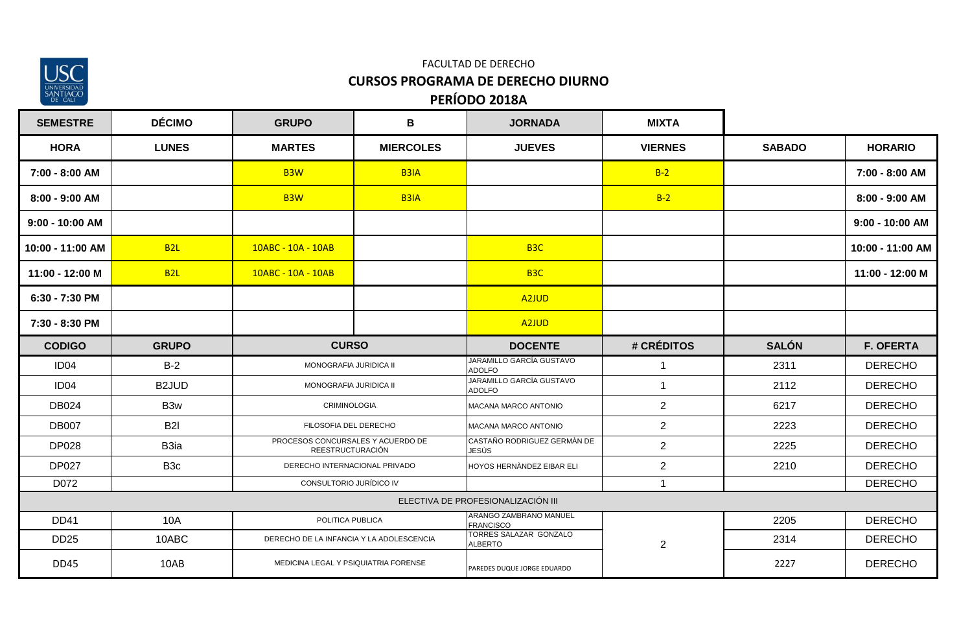

## **PERÍODO 2018A** FACULTAD DE DERECHO **CURSOS PROGRAMA DE DERECHO DIURNO**

| <b>SEMESTRE</b>  | <b>DÉCIMO</b>      | <b>GRUPO</b>                                          | В                | <b>JORNADA</b>                              | <b>MIXTA</b>   |               |                   |
|------------------|--------------------|-------------------------------------------------------|------------------|---------------------------------------------|----------------|---------------|-------------------|
| <b>HORA</b>      | <b>LUNES</b>       | <b>MARTES</b>                                         | <b>MIERCOLES</b> | <b>JUEVES</b>                               | <b>VIERNES</b> | <b>SABADO</b> | <b>HORARIO</b>    |
| 7:00 - 8:00 AM   |                    | B <sub>3</sub> W                                      | <b>B3IA</b>      |                                             | $B-2$          |               | 7:00 - 8:00 AM    |
| 8:00 - 9:00 AM   |                    | B <sub>3</sub> W                                      | <b>B3IA</b>      |                                             | $B-2$          |               | 8:00 - 9:00 AM    |
| 9:00 - 10:00 AM  |                    |                                                       |                  |                                             |                |               | $9:00 - 10:00$ AM |
| 10:00 - 11:00 AM | <b>B2L</b>         | 10ABC - 10A - 10AB                                    |                  | B <sub>3</sub> C                            |                |               | 10:00 - 11:00 AM  |
| 11:00 - 12:00 M  | <b>B2L</b>         | 10ABC - 10A - 10AB                                    |                  | B <sub>3C</sub>                             |                |               | 11:00 - 12:00 M   |
| 6:30 - 7:30 PM   |                    |                                                       |                  | A <sub>2JUD</sub>                           |                |               |                   |
| 7:30 - 8:30 PM   |                    |                                                       |                  | A <sub>2JUD</sub>                           |                |               |                   |
| <b>CODIGO</b>    | <b>GRUPO</b>       | <b>CURSO</b>                                          |                  | <b>DOCENTE</b>                              | # CRÉDITOS     | <b>SALÓN</b>  | <b>F. OFERTA</b>  |
| ID <sub>04</sub> | $B-2$              | MONOGRAFIA JURIDICA II                                |                  | JARAMILLO GARCÍA GUSTAVO<br><b>ADOLFO</b>   | $\mathbf{1}$   | 2311          | <b>DERECHO</b>    |
| ID <sub>04</sub> | B <sub>2</sub> JUD | MONOGRAFIA JURIDICA II                                |                  | JARAMILLO GARCÍA GUSTAVO<br><b>ADOLFO</b>   | $\mathbf{1}$   | 2112          | <b>DERECHO</b>    |
| <b>DB024</b>     | B <sub>3w</sub>    | <b>CRIMINOLOGIA</b>                                   |                  | MACANA MARCO ANTONIO                        | 2              | 6217          | <b>DERECHO</b>    |
| <b>DB007</b>     | <b>B2I</b>         | FILOSOFIA DEL DERECHO                                 |                  | MACANA MARCO ANTONIO                        | $\overline{2}$ | 2223          | <b>DERECHO</b>    |
| <b>DP028</b>     | B <sub>3ia</sub>   | PROCESOS CONCURSALES Y ACUERDO DE<br>REESTRUCTURACIÓN |                  | CASTAÑO RODRIGUEZ GERMÀN DE<br><b>JESUS</b> | $\overline{2}$ | 2225          | <b>DERECHO</b>    |
| <b>DP027</b>     | B <sub>3</sub> c   | DERECHO INTERNACIONAL PRIVADO                         |                  | HOYOS HERNÀNDEZ EIBAR ELI                   | $\overline{2}$ | 2210          | <b>DERECHO</b>    |
| D072             |                    | CONSULTORIO JURÍDICO IV                               |                  |                                             | $\mathbf{1}$   |               | <b>DERECHO</b>    |
|                  |                    |                                                       |                  | ELECTIVA DE PROFESIONALIZACIÓN III          |                |               |                   |
| <b>DD41</b>      | 10A                |                                                       | POLITICA PUBLICA |                                             |                | 2205          | <b>DERECHO</b>    |
| <b>DD25</b>      | 10ABC              | DERECHO DE LA INFANCIA Y LA ADOLESCENCIA              |                  | TORRES SALAZAR GONZALO<br><b>ALBERTO</b>    | $\overline{2}$ | 2314          | <b>DERECHO</b>    |
| <b>DD45</b>      | 10AB               | MEDICINA LEGAL Y PSIQUIATRIA FORENSE                  |                  | PAREDES DUQUE JORGE EDUARDO                 |                | 2227          | <b>DERECHO</b>    |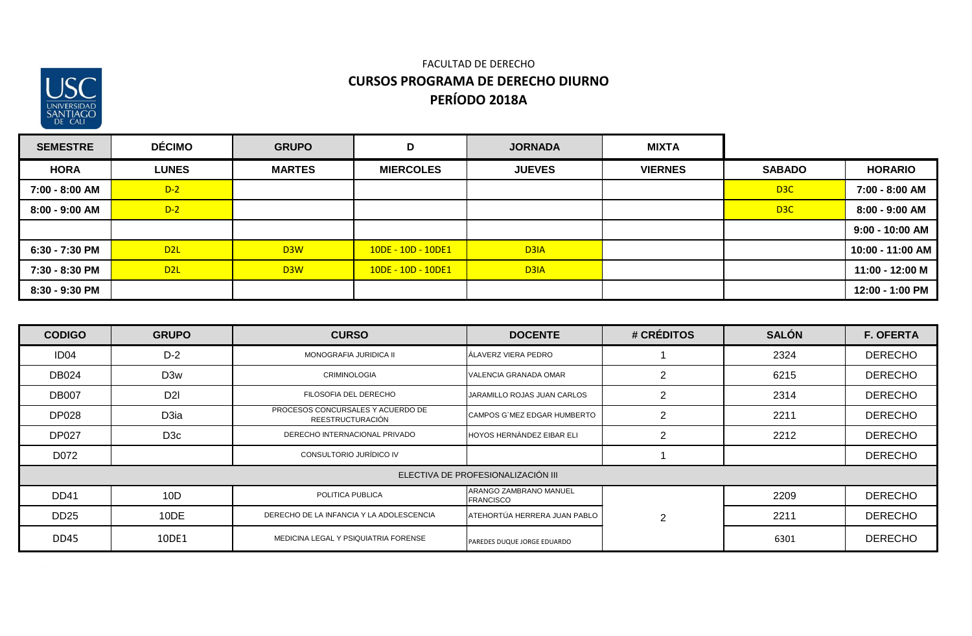

| <b>SEMESTRE</b> | <b>DÉCIMO</b>    | <b>GRUPO</b>     | D                    | <b>JORNADA</b>    | <b>MIXTA</b>   |               |                   |
|-----------------|------------------|------------------|----------------------|-------------------|----------------|---------------|-------------------|
| <b>HORA</b>     | <b>LUNES</b>     | <b>MARTES</b>    | <b>MIERCOLES</b>     | <b>JUEVES</b>     | <b>VIERNES</b> | <b>SABADO</b> | <b>HORARIO</b>    |
| 7:00 - 8:00 AM  | $D-2$            |                  |                      |                   |                | D3C           | 7:00 - 8:00 AM    |
| 8:00 - 9:00 AM  | $D-2$            |                  |                      |                   |                | D3C           | $8:00 - 9:00$ AM  |
|                 |                  |                  |                      |                   |                |               | $9:00 - 10:00$ AM |
| 6:30 - 7:30 PM  | D <sub>2</sub> L | D <sub>3</sub> W | $10DE - 10D - 10DE1$ | D <sub>3</sub> IA |                |               | 10:00 - 11:00 AM  |
| 7:30 - 8:30 PM  | D2L              | D <sub>3</sub> W | $10DE - 10D - 10DE1$ | D <sub>3</sub> IA |                |               | 11:00 - 12:00 M   |
| 8:30 - 9:30 PM  |                  |                  |                      |                   |                |               | 12:00 - 1:00 PM   |

| <b>CODIGO</b>    | <b>GRUPO</b>     | <b>CURSO</b>                                          | <b>DOCENTE</b>                             | # CRÉDITOS     | <b>SALÓN</b> | <b>F. OFERTA</b> |
|------------------|------------------|-------------------------------------------------------|--------------------------------------------|----------------|--------------|------------------|
| ID <sub>04</sub> | $D-2$            | MONOGRAFIA JURIDICA II                                | ÁLAVERZ VIERA PEDRO                        |                | 2324         | <b>DERECHO</b>   |
| <b>DB024</b>     | D <sub>3w</sub>  | <b>CRIMINOLOGIA</b>                                   | <b>VALENCIA GRANADA OMAR</b>               | 2              | 6215         | <b>DERECHO</b>   |
| <b>DB007</b>     | D <sub>2</sub>   | FILOSOFIA DEL DERECHO                                 | JARAMILLO ROJAS JUAN CARLOS                | $\overline{2}$ | 2314         | <b>DERECHO</b>   |
| <b>DP028</b>     | D3ia             | PROCESOS CONCURSALES Y ACUERDO DE<br>REESTRUCTURACIÓN | CAMPOS G`MEZ EDGAR HUMBERTO                | $\overline{2}$ | 2211         | <b>DERECHO</b>   |
| <b>DP027</b>     | D <sub>3</sub> c | DERECHO INTERNACIONAL PRIVADO                         | HOYOS HERNÀNDEZ EIBAR ELI                  | $\overline{2}$ | 2212         | <b>DERECHO</b>   |
| D072             |                  | CONSULTORIO JURÍDICO IV                               |                                            |                |              | <b>DERECHO</b>   |
|                  |                  |                                                       | ELECTIVA DE PROFESIONALIZACIÓN III         |                |              |                  |
| <b>DD41</b>      | 10D              | POLITICA PUBLICA                                      | ARANGO ZAMBRANO MANUEL<br><b>FRANCISCO</b> |                | 2209         | <b>DERECHO</b>   |
| <b>DD25</b>      | 10DE             | DERECHO DE LA INFANCIA Y LA ADOLESCENCIA              | ATEHORTÚA HERRERA JUAN PABLO               | 2              | 2211         | <b>DERECHO</b>   |
| <b>DD45</b>      | 10DE1            | MEDICINA LEGAL Y PSIQUIATRIA FORENSE                  | PAREDES DUQUE JORGE EDUARDO                |                | 6301         | <b>DERECHO</b>   |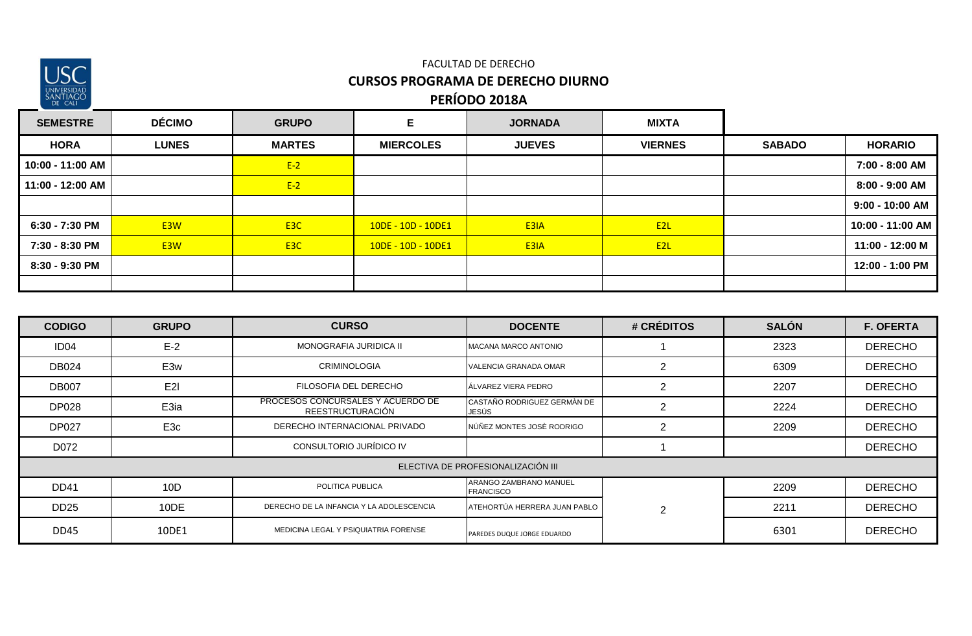

| <b>SEMESTRE</b>  | <b>DÉCIMO</b>    | <b>GRUPO</b>     | Е                    | <b>JORNADA</b> | <b>MIXTA</b>    |               |                   |
|------------------|------------------|------------------|----------------------|----------------|-----------------|---------------|-------------------|
| <b>HORA</b>      | <b>LUNES</b>     | <b>MARTES</b>    | <b>MIERCOLES</b>     | <b>JUEVES</b>  | <b>VIERNES</b>  | <b>SABADO</b> | <b>HORARIO</b>    |
| 10:00 - 11:00 AM |                  | $E-2$            |                      |                |                 |               | 7:00 - 8:00 AM    |
| 11:00 - 12:00 AM |                  | $E-2$            |                      |                |                 |               | 8:00 - 9:00 AM    |
|                  |                  |                  |                      |                |                 |               | $9:00 - 10:00$ AM |
| 6:30 - 7:30 PM   | E3W              | E <sub>3</sub> C | $10DE - 10D - 10DE1$ | E3IA           | E <sub>2L</sub> |               | 10:00 - 11:00 AM  |
| 7:30 - 8:30 PM   | E <sub>3</sub> W | E <sub>3</sub> C | 10DE - 10D - 10DE1   | E3IA           | E <sub>2L</sub> |               | 11:00 - 12:00 M   |
| 8:30 - 9:30 PM   |                  |                  |                      |                |                 |               | 12:00 - 1:00 PM   |
|                  |                  |                  |                      |                |                 |               |                   |

| <b>CODIGO</b>    | <b>GRUPO</b>    | <b>CURSO</b>                                                 | <b>DOCENTE</b>                             | # CRÉDITOS     | <b>SALÓN</b> | <b>F. OFERTA</b> |
|------------------|-----------------|--------------------------------------------------------------|--------------------------------------------|----------------|--------------|------------------|
| ID <sub>04</sub> | $E-2$           | MONOGRAFIA JURIDICA II                                       | MACANA MARCO ANTONIO                       |                | 2323         | <b>DERECHO</b>   |
| <b>DB024</b>     | E <sub>3w</sub> | <b>CRIMINOLOGIA</b>                                          | VALENCIA GRANADA OMAR                      | $\overline{2}$ | 6309         | <b>DERECHO</b>   |
| <b>DB007</b>     | E <sub>2</sub>  | FILOSOFIA DEL DERECHO                                        | ÁLVAREZ VIERA PEDRO                        | $\overline{2}$ | 2207         | <b>DERECHO</b>   |
| <b>DP028</b>     | E3ia            | PROCESOS CONCURSALES Y ACUERDO DE<br><b>REESTRUCTURACIÓN</b> | CASTAÑO RODRIGUEZ GERMÀN DE<br>JESÚS       | $\overline{2}$ | 2224         | <b>DERECHO</b>   |
| <b>DP027</b>     | E <sub>3c</sub> | DERECHO INTERNACIONAL PRIVADO                                | NÚÑEZ MONTES JOSÈ RODRIGO                  | $\overline{2}$ | 2209         | <b>DERECHO</b>   |
| D072             |                 | CONSULTORIO JURÍDICO IV                                      |                                            |                |              | <b>DERECHO</b>   |
|                  |                 |                                                              | ELECTIVA DE PROFESIONALIZACIÓN III         |                |              |                  |
| <b>DD41</b>      | 10D             | POLITICA PUBLICA                                             | ARANGO ZAMBRANO MANUEL<br><b>FRANCISCO</b> |                | 2209         | <b>DERECHO</b>   |
| <b>DD25</b>      | 10DE            | DERECHO DE LA INFANCIA Y LA ADOLESCENCIA                     | ATEHORTÚA HERRERA JUAN PABLO               | 2              | 2211         | <b>DERECHO</b>   |
| <b>DD45</b>      | 10DE1           | MEDICINA LEGAL Y PSIQUIATRIA FORENSE                         | PAREDES DUQUE JORGE EDUARDO                |                | 6301         | <b>DERECHO</b>   |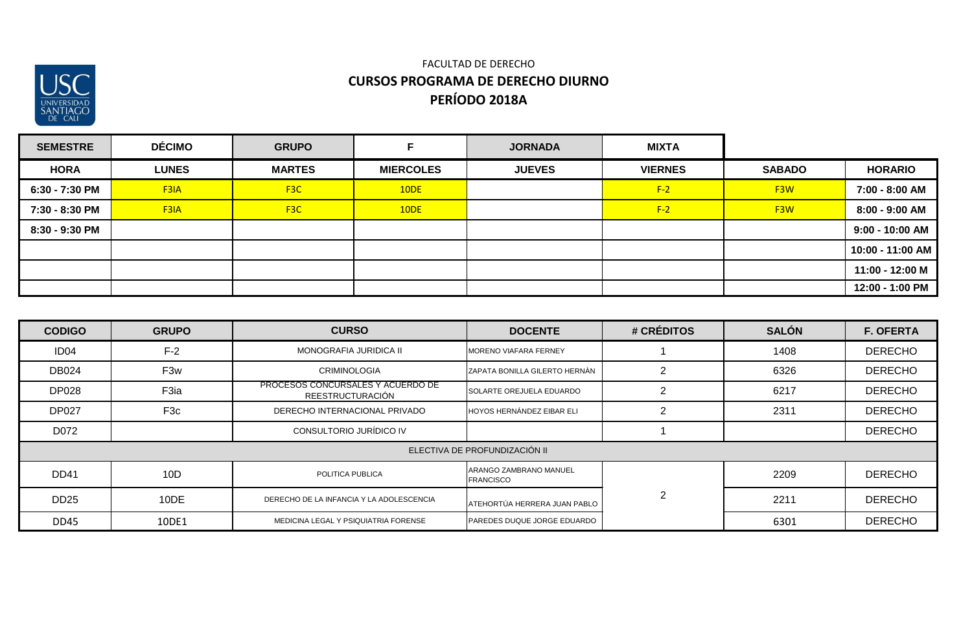

| <b>SEMESTRE</b> | <b>DÉCIMO</b> | <b>GRUPO</b>     |                  | <b>JORNADA</b> | <b>MIXTA</b>   |                  |                   |
|-----------------|---------------|------------------|------------------|----------------|----------------|------------------|-------------------|
| <b>HORA</b>     | <b>LUNES</b>  | <b>MARTES</b>    | <b>MIERCOLES</b> | <b>JUEVES</b>  | <b>VIERNES</b> | <b>SABADO</b>    | <b>HORARIO</b>    |
| 6:30 - 7:30 PM  | F3IA          | F <sub>3</sub> C | 10DE             |                | $F-2$          | F <sub>3</sub> W | 7:00 - 8:00 AM    |
| 7:30 - 8:30 PM  | F3IA          | F <sub>3</sub> C | 10DE             |                | $F-2$          | F <sub>3</sub> W | 8:00 - 9:00 AM    |
| 8:30 - 9:30 PM  |               |                  |                  |                |                |                  | $9:00 - 10:00$ AM |
|                 |               |                  |                  |                |                |                  | 10:00 - 11:00 AM  |
|                 |               |                  |                  |                |                |                  | 11:00 - 12:00 M   |
|                 |               |                  |                  |                |                |                  | 12:00 - 1:00 PM   |

| <b>CODIGO</b>    | <b>GRUPO</b>    | <b>CURSO</b>                                                 | <b>DOCENTE</b>                             | # CRÉDITOS     | <b>SALÓN</b> | <b>F. OFERTA</b> |
|------------------|-----------------|--------------------------------------------------------------|--------------------------------------------|----------------|--------------|------------------|
| ID <sub>04</sub> | $F-2$           | MONOGRAFIA JURIDICA II                                       | <b>MORENO VIAFARA FERNEY</b>               |                | 1408         | <b>DERECHO</b>   |
| <b>DB024</b>     | F3w             | <b>CRIMINOLOGIA</b>                                          | <b>ZAPATA BONILLA GILERTO HERNÀN</b>       |                | 6326         | <b>DERECHO</b>   |
| <b>DP028</b>     | F3ia            | PROCESOS CONCURSALES Y ACUERDO DE<br><b>REESTRUCTURACIÓN</b> | SOLARTE OREJUELA EDUARDO                   | $\overline{2}$ | 6217         | <b>DERECHO</b>   |
| <b>DP027</b>     | F <sub>3c</sub> | DERECHO INTERNACIONAL PRIVADO                                | HOYOS HERNÁNDEZ EIBAR ELI                  | 2              | 2311         | <b>DERECHO</b>   |
| D072             |                 | CONSULTORIO JURÍDICO IV                                      |                                            |                |              | <b>DERECHO</b>   |
|                  |                 |                                                              | ELECTIVA DE PROFUNDIZACIÓN II              |                |              |                  |
| <b>DD41</b>      | 10D             | POLITICA PUBLICA                                             | ARANGO ZAMBRANO MANUEL<br><b>FRANCISCO</b> |                | 2209         | <b>DERECHO</b>   |
| <b>DD25</b>      | 10DE            | DERECHO DE LA INFANCIA Y LA ADOLESCENCIA                     | ATEHORTÚA HERRERA JUAN PABLO               | 2              | 2211         | <b>DERECHO</b>   |
| <b>DD45</b>      | 10DE1           | MEDICINA LEGAL Y PSIQUIATRIA FORENSE                         | PAREDES DUQUE JORGE EDUARDO                |                | 6301         | <b>DERECHO</b>   |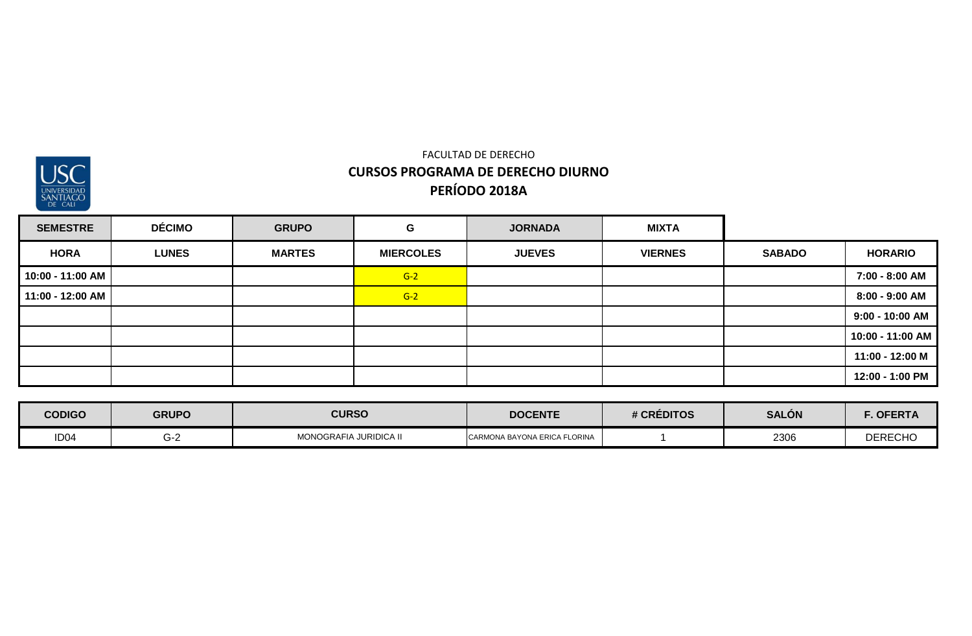

| <b>SEMESTRE</b>  | <b>DÉCIMO</b> | <b>GRUPO</b>  | G                | <b>JORNADA</b> | <b>MIXTA</b>   |               |                   |
|------------------|---------------|---------------|------------------|----------------|----------------|---------------|-------------------|
| <b>HORA</b>      | <b>LUNES</b>  | <b>MARTES</b> | <b>MIERCOLES</b> | <b>JUEVES</b>  | <b>VIERNES</b> | <b>SABADO</b> | <b>HORARIO</b>    |
| 10:00 - 11:00 AM |               |               | $G-2$            |                |                |               | 7:00 - 8:00 AM    |
| 11:00 - 12:00 AM |               |               | $G-2$            |                |                |               | 8:00 - 9:00 AM    |
|                  |               |               |                  |                |                |               | $9:00 - 10:00$ AM |
|                  |               |               |                  |                |                |               | 10:00 - 11:00 AM  |
|                  |               |               |                  |                |                |               | 11:00 - 12:00 M   |
|                  |               |               |                  |                |                |               | 12:00 - 1:00 PM   |

| <b>CODIGO</b>    | <b>GRUPO</b> | <b>CURSO</b>           | <b>DOCENTE</b>               | # CRÉDITOS | <b>SALÓN</b> | . OFERTA       |
|------------------|--------------|------------------------|------------------------------|------------|--------------|----------------|
| ID <sub>04</sub> | G-2          | MONOGRAFIA JURIDICA II | CARMONA BAYONA ERICA FLORINA |            | 2306         | <b>DERECHO</b> |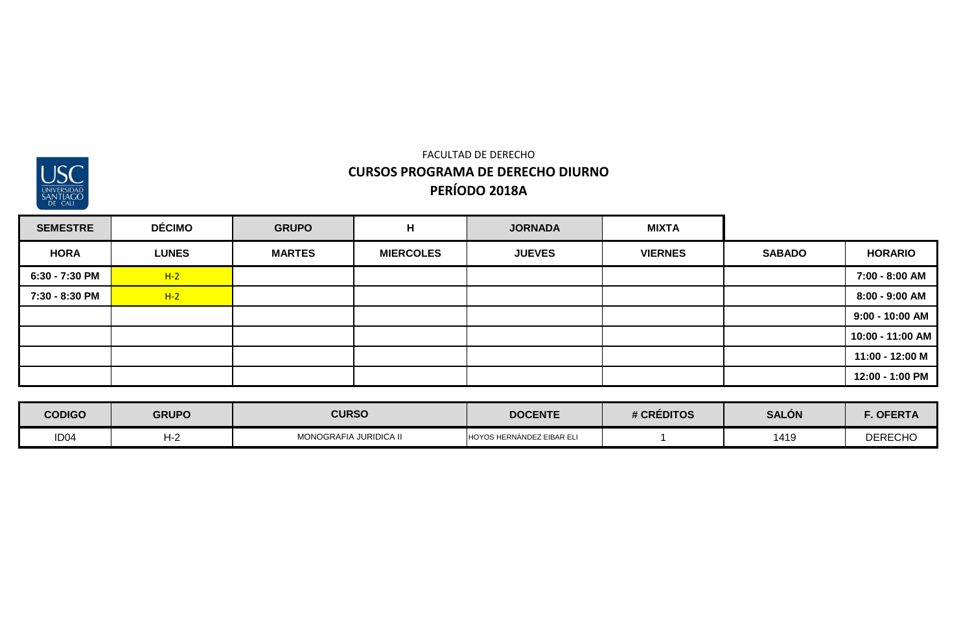

| <b>SEMESTRE</b> | <b>DÉCIMO</b> | <b>GRUPO</b>  | H                | <b>JORNADA</b> | <b>MIXTA</b>   |               |                  |
|-----------------|---------------|---------------|------------------|----------------|----------------|---------------|------------------|
| <b>HORA</b>     | <b>LUNES</b>  | <b>MARTES</b> | <b>MIERCOLES</b> | <b>JUEVES</b>  | <b>VIERNES</b> | <b>SABADO</b> | <b>HORARIO</b>   |
| 6:30 - 7:30 PM  | $H-2$         |               |                  |                |                |               | 7:00 - 8:00 AM   |
| 7:30 - 8:30 PM  | $H-2$         |               |                  |                |                |               | 8:00 - 9:00 AM   |
|                 |               |               |                  |                |                |               | 9:00 - 10:00 AM  |
|                 |               |               |                  |                |                |               | 10:00 - 11:00 AM |
|                 |               |               |                  |                |                |               | 11:00 - 12:00 M  |
|                 |               |               |                  |                |                |               | 12:00 - 1:00 PM  |

| <b>CODIGO</b>    | <b>GRUPO</b> | <b>CURSO</b>           | <b>DOCENTE</b>                   | # CREDITOS | <b>SALÓN</b> | ∴ OFERTA       |
|------------------|--------------|------------------------|----------------------------------|------------|--------------|----------------|
| ID <sub>04</sub> | H-2          | MONOGRAFIA JURIDICA II | <b>HOYOS HERNÁNDEZ EIBAR ELI</b> |            | 1419         | <b>DERECHO</b> |